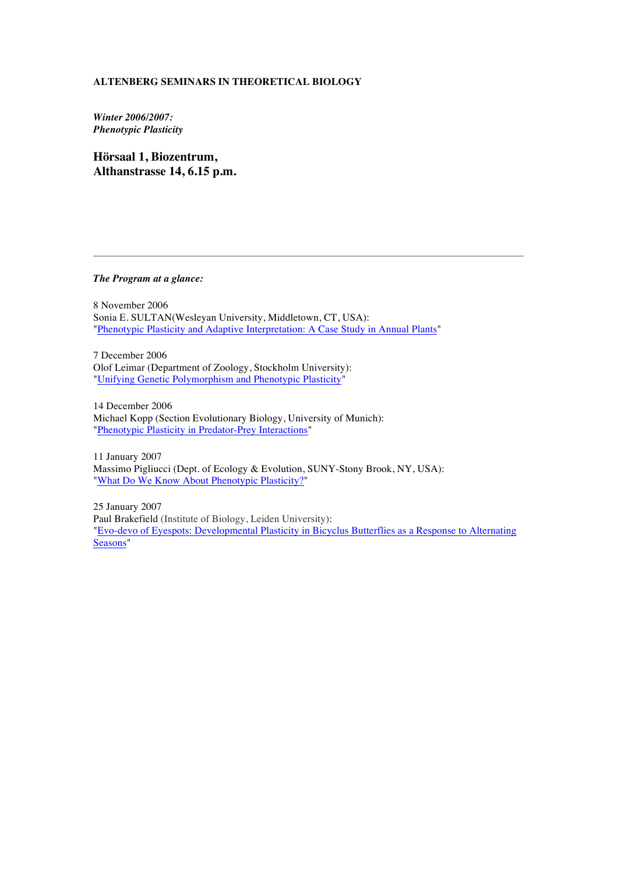# **ALTENBERG SEMINARS IN THEORETICAL BIOLOGY**

*Winter 2006/2007: Phenotypic Plasticity*

**Hörsaal 1, Biozentrum, Althanstrasse 14, 6.15 p.m.**

*The Program at a glance:*

8 November 2006 Sonia E. SULTAN(Wesleyan University, Middletown, CT, USA): "Phenotypic Plasticity and Adaptive Interpretation: A Case Study in Annual Plants"

7 December 2006 Olof Leimar (Department of Zoology, Stockholm University): "Unifying Genetic Polymorphism and Phenotypic Plasticity"

14 December 2006 Michael Kopp (Section Evolutionary Biology, University of Munich): "Phenotypic Plasticity in Predator-Prey Interactions"

11 January 2007 Massimo Pigliucci (Dept. of Ecology & Evolution, SUNY-Stony Brook, NY, USA): "What Do We Know About Phenotypic Plasticity?"

25 January 2007 Paul Brakefield (Institute of Biology, Leiden University): "Evo-devo of Eyespots: Developmental Plasticity in Bicyclus Butterflies as a Response to Alternating Seasons"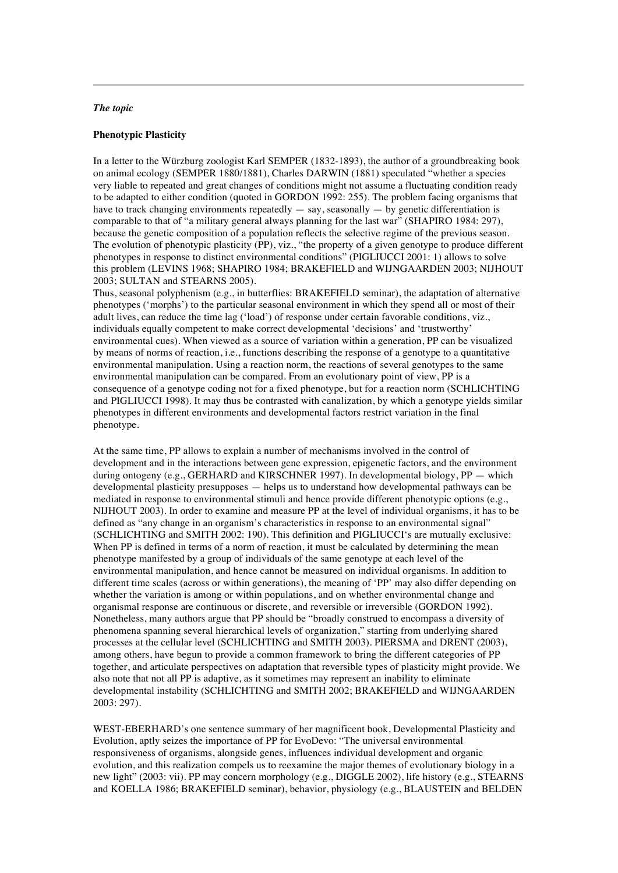# *The topic*

# **Phenotypic Plasticity**

In a letter to the Würzburg zoologist Karl SEMPER (1832-1893), the author of a groundbreaking book on animal ecology (SEMPER 1880/1881), Charles DARWIN (1881) speculated "whether a species very liable to repeated and great changes of conditions might not assume a fluctuating condition ready to be adapted to either condition (quoted in GORDON 1992: 255). The problem facing organisms that have to track changing environments repeatedly  $-$  say, seasonally  $-$  by genetic differentiation is comparable to that of "a military general always planning for the last war" (SHAPIRO 1984: 297), because the genetic composition of a population reflects the selective regime of the previous season. The evolution of phenotypic plasticity (PP), viz., "the property of a given genotype to produce different phenotypes in response to distinct environmental conditions" (PIGLIUCCI 2001: 1) allows to solve this problem (LEVINS 1968; SHAPIRO 1984; BRAKEFIELD and WIJNGAARDEN 2003; NIJHOUT 2003; SULTAN and STEARNS 2005).

Thus, seasonal polyphenism (e.g., in butterflies: BRAKEFIELD seminar), the adaptation of alternative phenotypes ('morphs') to the particular seasonal environment in which they spend all or most of their adult lives, can reduce the time lag ('load') of response under certain favorable conditions, viz., individuals equally competent to make correct developmental 'decisions' and 'trustworthy' environmental cues). When viewed as a source of variation within a generation, PP can be visualized by means of norms of reaction, i.e., functions describing the response of a genotype to a quantitative environmental manipulation. Using a reaction norm, the reactions of several genotypes to the same environmental manipulation can be compared. From an evolutionary point of view, PP is a consequence of a genotype coding not for a fixed phenotype, but for a reaction norm (SCHLICHTING and PIGLIUCCI 1998). It may thus be contrasted with canalization, by which a genotype yields similar phenotypes in different environments and developmental factors restrict variation in the final phenotype.

At the same time, PP allows to explain a number of mechanisms involved in the control of development and in the interactions between gene expression, epigenetic factors, and the environment during ontogeny (e.g., GERHARD and KIRSCHNER 1997). In developmental biology, PP — which developmental plasticity presupposes — helps us to understand how developmental pathways can be mediated in response to environmental stimuli and hence provide different phenotypic options (e.g., NIJHOUT 2003). In order to examine and measure PP at the level of individual organisms, it has to be defined as "any change in an organism's characteristics in response to an environmental signal" (SCHLICHTING and SMITH 2002: 190). This definition and PIGLIUCCI's are mutually exclusive: When PP is defined in terms of a norm of reaction, it must be calculated by determining the mean phenotype manifested by a group of individuals of the same genotype at each level of the environmental manipulation, and hence cannot be measured on individual organisms. In addition to different time scales (across or within generations), the meaning of 'PP' may also differ depending on whether the variation is among or within populations, and on whether environmental change and organismal response are continuous or discrete, and reversible or irreversible (GORDON 1992). Nonetheless, many authors argue that PP should be "broadly construed to encompass a diversity of phenomena spanning several hierarchical levels of organization," starting from underlying shared processes at the cellular level (SCHLICHTING and SMITH 2003). PIERSMA and DRENT (2003), among others, have begun to provide a common framework to bring the different categories of PP together, and articulate perspectives on adaptation that reversible types of plasticity might provide. We also note that not all PP is adaptive, as it sometimes may represent an inability to eliminate developmental instability (SCHLICHTING and SMITH 2002; BRAKEFIELD and WIJNGAARDEN 2003: 297).

WEST-EBERHARD's one sentence summary of her magnificent book, Developmental Plasticity and Evolution, aptly seizes the importance of PP for EvoDevo: "The universal environmental responsiveness of organisms, alongside genes, influences individual development and organic evolution, and this realization compels us to reexamine the major themes of evolutionary biology in a new light" (2003: vii). PP may concern morphology (e.g., DIGGLE 2002), life history (e.g., STEARNS and KOELLA 1986; BRAKEFIELD seminar), behavior, physiology (e.g., BLAUSTEIN and BELDEN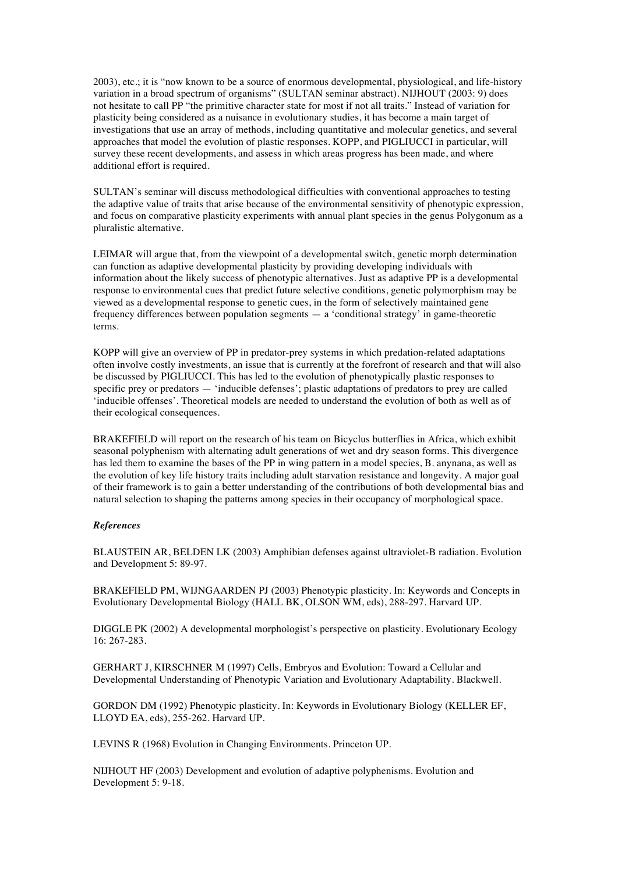2003), etc.; it is "now known to be a source of enormous developmental, physiological, and life-history variation in a broad spectrum of organisms" (SULTAN seminar abstract). NIJHOUT (2003: 9) does not hesitate to call PP "the primitive character state for most if not all traits." Instead of variation for plasticity being considered as a nuisance in evolutionary studies, it has become a main target of investigations that use an array of methods, including quantitative and molecular genetics, and several approaches that model the evolution of plastic responses. KOPP, and PIGLIUCCI in particular, will survey these recent developments, and assess in which areas progress has been made, and where additional effort is required.

SULTAN's seminar will discuss methodological difficulties with conventional approaches to testing the adaptive value of traits that arise because of the environmental sensitivity of phenotypic expression, and focus on comparative plasticity experiments with annual plant species in the genus Polygonum as a pluralistic alternative.

LEIMAR will argue that, from the viewpoint of a developmental switch, genetic morph determination can function as adaptive developmental plasticity by providing developing individuals with information about the likely success of phenotypic alternatives. Just as adaptive PP is a developmental response to environmental cues that predict future selective conditions, genetic polymorphism may be viewed as a developmental response to genetic cues, in the form of selectively maintained gene frequency differences between population segments — a 'conditional strategy' in game-theoretic terms.

KOPP will give an overview of PP in predator-prey systems in which predation-related adaptations often involve costly investments, an issue that is currently at the forefront of research and that will also be discussed by PIGLIUCCI. This has led to the evolution of phenotypically plastic responses to specific prey or predators — 'inducible defenses'; plastic adaptations of predators to prey are called 'inducible offenses'. Theoretical models are needed to understand the evolution of both as well as of their ecological consequences.

BRAKEFIELD will report on the research of his team on Bicyclus butterflies in Africa, which exhibit seasonal polyphenism with alternating adult generations of wet and dry season forms. This divergence has led them to examine the bases of the PP in wing pattern in a model species, B. anynana, as well as the evolution of key life history traits including adult starvation resistance and longevity. A major goal of their framework is to gain a better understanding of the contributions of both developmental bias and natural selection to shaping the patterns among species in their occupancy of morphological space.

# *References*

BLAUSTEIN AR, BELDEN LK (2003) Amphibian defenses against ultraviolet-B radiation. Evolution and Development 5: 89-97.

BRAKEFIELD PM, WIJNGAARDEN PJ (2003) Phenotypic plasticity. In: Keywords and Concepts in Evolutionary Developmental Biology (HALL BK, OLSON WM, eds), 288-297. Harvard UP.

DIGGLE PK (2002) A developmental morphologist's perspective on plasticity. Evolutionary Ecology 16: 267-283.

GERHART J, KIRSCHNER M (1997) Cells, Embryos and Evolution: Toward a Cellular and Developmental Understanding of Phenotypic Variation and Evolutionary Adaptability. Blackwell.

GORDON DM (1992) Phenotypic plasticity. In: Keywords in Evolutionary Biology (KELLER EF, LLOYD EA, eds), 255-262. Harvard UP.

LEVINS R (1968) Evolution in Changing Environments. Princeton UP.

NIJHOUT HF (2003) Development and evolution of adaptive polyphenisms. Evolution and Development 5: 9-18.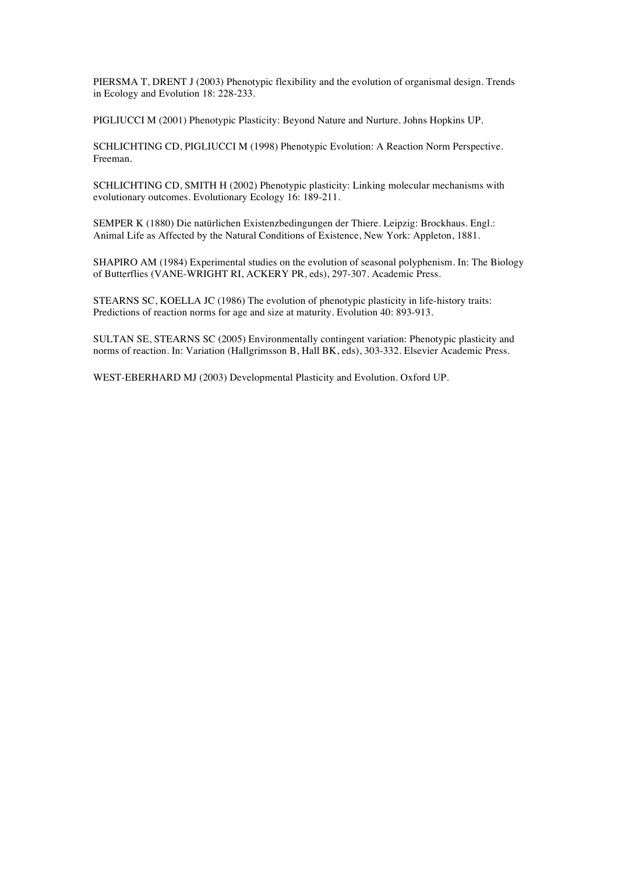PIERSMA T, DRENT J (2003) Phenotypic flexibility and the evolution of organismal design. Trends in Ecology and Evolution 18: 228-233.

PIGLIUCCI M (2001) Phenotypic Plasticity: Beyond Nature and Nurture. Johns Hopkins UP.

SCHLICHTING CD, PIGLIUCCI M (1998) Phenotypic Evolution: A Reaction Norm Perspective. Freeman.

SCHLICHTING CD, SMITH H (2002) Phenotypic plasticity: Linking molecular mechanisms with evolutionary outcomes. Evolutionary Ecology 16: 189-211.

SEMPER K (1880) Die natürlichen Existenzbedingungen der Thiere. Leipzig: Brockhaus. Engl.: Animal Life as Affected by the Natural Conditions of Existence, New York: Appleton, 1881.

SHAPIRO AM (1984) Experimental studies on the evolution of seasonal polyphenism. In: The Biology of Butterflies (VANE-WRIGHT RI, ACKERY PR, eds), 297-307. Academic Press.

STEARNS SC, KOELLA JC (1986) The evolution of phenotypic plasticity in life-history traits: Predictions of reaction norms for age and size at maturity. Evolution 40: 893-913.

SULTAN SE, STEARNS SC (2005) Environmentally contingent variation: Phenotypic plasticity and norms of reaction. In: Variation (Hallgrimsson B, Hall BK, eds), 303-332. Elsevier Academic Press.

WEST-EBERHARD MJ (2003) Developmental Plasticity and Evolution. Oxford UP.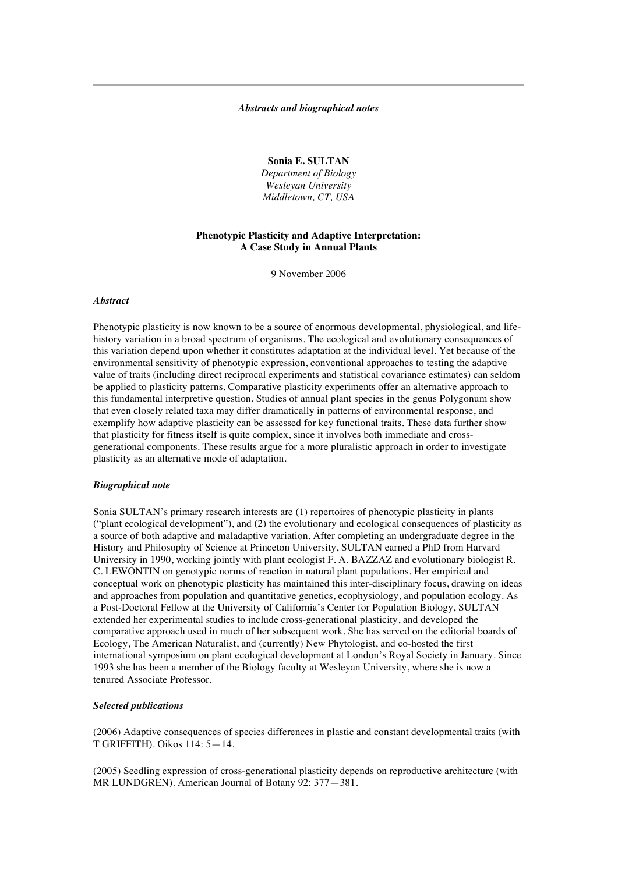# *Abstracts and biographical notes*

**Sonia E. SULTAN**

*Department of Biology Wesleyan University Middletown, CT, USA*

# **Phenotypic Plasticity and Adaptive Interpretation: A Case Study in Annual Plants**

9 November 2006

# *Abstract*

Phenotypic plasticity is now known to be a source of enormous developmental, physiological, and lifehistory variation in a broad spectrum of organisms. The ecological and evolutionary consequences of this variation depend upon whether it constitutes adaptation at the individual level. Yet because of the environmental sensitivity of phenotypic expression, conventional approaches to testing the adaptive value of traits (including direct reciprocal experiments and statistical covariance estimates) can seldom be applied to plasticity patterns. Comparative plasticity experiments offer an alternative approach to this fundamental interpretive question. Studies of annual plant species in the genus Polygonum show that even closely related taxa may differ dramatically in patterns of environmental response, and exemplify how adaptive plasticity can be assessed for key functional traits. These data further show that plasticity for fitness itself is quite complex, since it involves both immediate and crossgenerational components. These results argue for a more pluralistic approach in order to investigate plasticity as an alternative mode of adaptation.

### *Biographical note*

Sonia SULTAN's primary research interests are (1) repertoires of phenotypic plasticity in plants ("plant ecological development"), and (2) the evolutionary and ecological consequences of plasticity as a source of both adaptive and maladaptive variation. After completing an undergraduate degree in the History and Philosophy of Science at Princeton University, SULTAN earned a PhD from Harvard University in 1990, working jointly with plant ecologist F. A. BAZZAZ and evolutionary biologist R. C. LEWONTIN on genotypic norms of reaction in natural plant populations. Her empirical and conceptual work on phenotypic plasticity has maintained this inter-disciplinary focus, drawing on ideas and approaches from population and quantitative genetics, ecophysiology, and population ecology. As a Post-Doctoral Fellow at the University of California's Center for Population Biology, SULTAN extended her experimental studies to include cross-generational plasticity, and developed the comparative approach used in much of her subsequent work. She has served on the editorial boards of Ecology, The American Naturalist, and (currently) New Phytologist, and co-hosted the first international symposium on plant ecological development at London's Royal Society in January. Since 1993 she has been a member of the Biology faculty at Wesleyan University, where she is now a tenured Associate Professor.

#### *Selected publications*

(2006) Adaptive consequences of species differences in plastic and constant developmental traits (with T GRIFFITH). Oikos 114: 5—14.

(2005) Seedling expression of cross-generational plasticity depends on reproductive architecture (with MR LUNDGREN). American Journal of Botany 92: 377—381.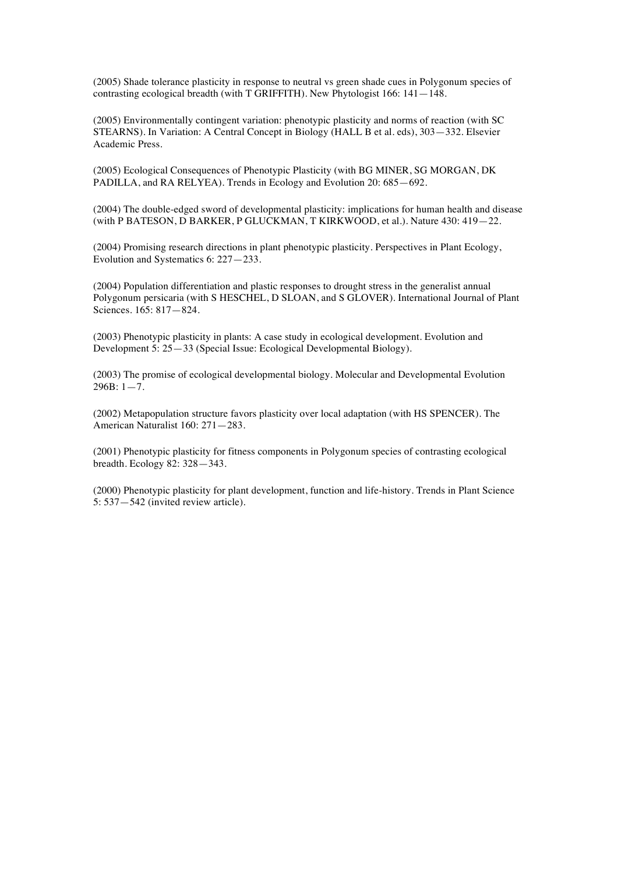(2005) Shade tolerance plasticity in response to neutral vs green shade cues in Polygonum species of contrasting ecological breadth (with T GRIFFITH). New Phytologist 166: 141—148.

(2005) Environmentally contingent variation: phenotypic plasticity and norms of reaction (with SC STEARNS). In Variation: A Central Concept in Biology (HALL B et al. eds), 303—332. Elsevier Academic Press.

(2005) Ecological Consequences of Phenotypic Plasticity (with BG MINER, SG MORGAN, DK PADILLA, and RA RELYEA). Trends in Ecology and Evolution 20: 685—692.

(2004) The double-edged sword of developmental plasticity: implications for human health and disease (with P BATESON, D BARKER, P GLUCKMAN, T KIRKWOOD, et al.). Nature 430: 419—22.

(2004) Promising research directions in plant phenotypic plasticity. Perspectives in Plant Ecology, Evolution and Systematics 6: 227—233.

(2004) Population differentiation and plastic responses to drought stress in the generalist annual Polygonum persicaria (with S HESCHEL, D SLOAN, and S GLOVER). International Journal of Plant Sciences. 165: 817—824.

(2003) Phenotypic plasticity in plants: A case study in ecological development. Evolution and Development 5: 25—33 (Special Issue: Ecological Developmental Biology).

(2003) The promise of ecological developmental biology. Molecular and Developmental Evolution  $296B: 1 - 7.$ 

(2002) Metapopulation structure favors plasticity over local adaptation (with HS SPENCER). The American Naturalist 160: 271—283.

(2001) Phenotypic plasticity for fitness components in Polygonum species of contrasting ecological breadth. Ecology 82: 328—343.

(2000) Phenotypic plasticity for plant development, function and life-history. Trends in Plant Science 5: 537—542 (invited review article).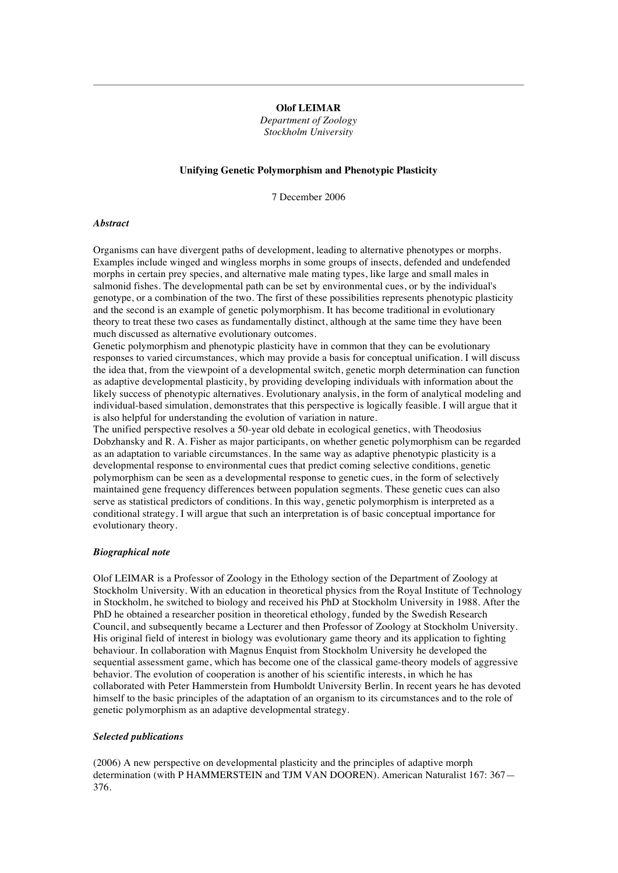# **Olof LEIMAR**

*Department of Zoology Stockholm University*

## **Unifying Genetic Polymorphism and Phenotypic Plasticity**

7 December 2006

## *Abstract*

Organisms can have divergent paths of development, leading to alternative phenotypes or morphs. Examples include winged and wingless morphs in some groups of insects, defended and undefended morphs in certain prey species, and alternative male mating types, like large and small males in salmonid fishes. The developmental path can be set by environmental cues, or by the individual's genotype, or a combination of the two. The first of these possibilities represents phenotypic plasticity and the second is an example of genetic polymorphism. It has become traditional in evolutionary theory to treat these two cases as fundamentally distinct, although at the same time they have been much discussed as alternative evolutionary outcomes.

Genetic polymorphism and phenotypic plasticity have in common that they can be evolutionary responses to varied circumstances, which may provide a basis for conceptual unification. I will discuss the idea that, from the viewpoint of a developmental switch, genetic morph determination can function as adaptive developmental plasticity, by providing developing individuals with information about the likely success of phenotypic alternatives. Evolutionary analysis, in the form of analytical modeling and individual-based simulation, demonstrates that this perspective is logically feasible. I will argue that it is also helpful for understanding the evolution of variation in nature.

The unified perspective resolves a 50-year old debate in ecological genetics, with Theodosius Dobzhansky and R. A. Fisher as major participants, on whether genetic polymorphism can be regarded as an adaptation to variable circumstances. In the same way as adaptive phenotypic plasticity is a developmental response to environmental cues that predict coming selective conditions, genetic polymorphism can be seen as a developmental response to genetic cues, in the form of selectively maintained gene frequency differences between population segments. These genetic cues can also serve as statistical predictors of conditions. In this way, genetic polymorphism is interpreted as a conditional strategy. I will argue that such an interpretation is of basic conceptual importance for evolutionary theory.

# *Biographical note*

Olof LEIMAR is a Professor of Zoology in the Ethology section of the Department of Zoology at Stockholm University. With an education in theoretical physics from the Royal Institute of Technology in Stockholm, he switched to biology and received his PhD at Stockholm University in 1988. After the PhD he obtained a researcher position in theoretical ethology, funded by the Swedish Research Council, and subsequently became a Lecturer and then Professor of Zoology at Stockholm University. His original field of interest in biology was evolutionary game theory and its application to fighting behaviour. In collaboration with Magnus Enquist from Stockholm University he developed the sequential assessment game, which has become one of the classical game-theory models of aggressive behavior. The evolution of cooperation is another of his scientific interests, in which he has collaborated with Peter Hammerstein from Humboldt University Berlin. In recent years he has devoted himself to the basic principles of the adaptation of an organism to its circumstances and to the role of genetic polymorphism as an adaptive developmental strategy.

### *Selected publications*

(2006) A new perspective on developmental plasticity and the principles of adaptive morph determination (with P HAMMERSTEIN and TJM VAN DOOREN). American Naturalist 167: 367— 376.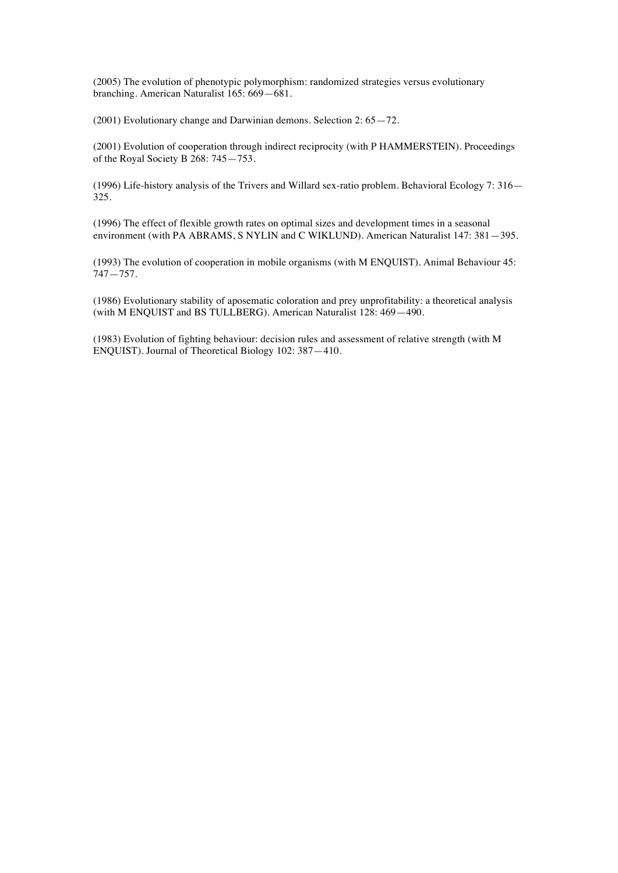(2005) The evolution of phenotypic polymorphism: randomized strategies versus evolutionary branching. American Naturalist 165: 669—681.

(2001) Evolutionary change and Darwinian demons. Selection 2: 65—72.

(2001) Evolution of cooperation through indirect reciprocity (with P HAMMERSTEIN). Proceedings of the Royal Society B 268: 745—753.

(1996) Life-history analysis of the Trivers and Willard sex-ratio problem. Behavioral Ecology 7: 316— 325.

(1996) The effect of flexible growth rates on optimal sizes and development times in a seasonal environment (with PA ABRAMS, S NYLIN and C WIKLUND). American Naturalist 147: 381—395.

(1993) The evolution of cooperation in mobile organisms (with M ENQUIST). Animal Behaviour 45: 747—757.

(1986) Evolutionary stability of aposematic coloration and prey unprofitability: a theoretical analysis (with M ENQUIST and BS TULLBERG). American Naturalist 128: 469—490.

(1983) Evolution of fighting behaviour: decision rules and assessment of relative strength (with M ENQUIST). Journal of Theoretical Biology 102: 387—410.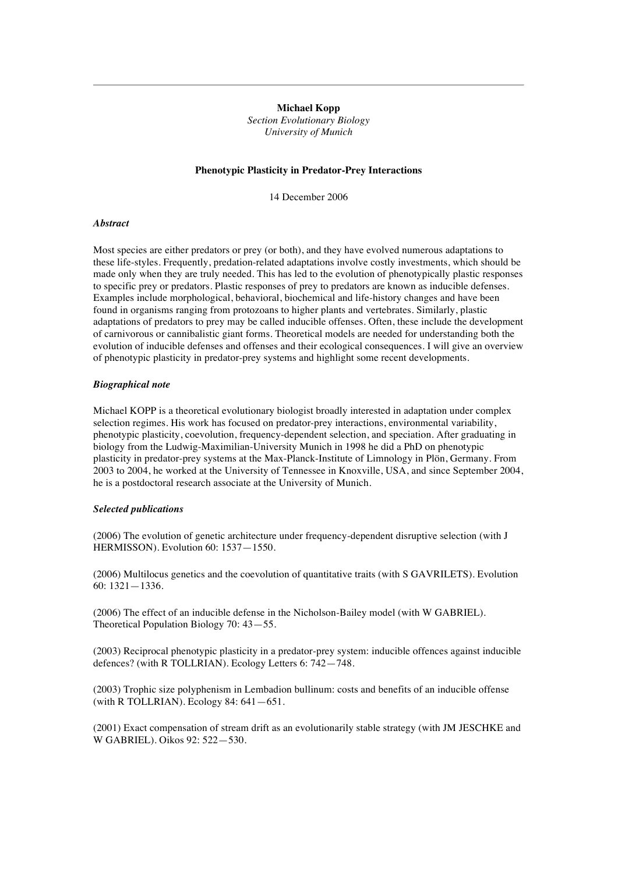# **Michael Kopp**

*Section Evolutionary Biology University of Munich*

#### **Phenotypic Plasticity in Predator-Prey Interactions**

14 December 2006

# *Abstract*

Most species are either predators or prey (or both), and they have evolved numerous adaptations to these life-styles. Frequently, predation-related adaptations involve costly investments, which should be made only when they are truly needed. This has led to the evolution of phenotypically plastic responses to specific prey or predators. Plastic responses of prey to predators are known as inducible defenses. Examples include morphological, behavioral, biochemical and life-history changes and have been found in organisms ranging from protozoans to higher plants and vertebrates. Similarly, plastic adaptations of predators to prey may be called inducible offenses. Often, these include the development of carnivorous or cannibalistic giant forms. Theoretical models are needed for understanding both the evolution of inducible defenses and offenses and their ecological consequences. I will give an overview of phenotypic plasticity in predator-prey systems and highlight some recent developments.

# *Biographical note*

Michael KOPP is a theoretical evolutionary biologist broadly interested in adaptation under complex selection regimes. His work has focused on predator-prey interactions, environmental variability, phenotypic plasticity, coevolution, frequency-dependent selection, and speciation. After graduating in biology from the Ludwig-Maximilian-University Munich in 1998 he did a PhD on phenotypic plasticity in predator-prey systems at the Max-Planck-Institute of Limnology in Plön, Germany. From 2003 to 2004, he worked at the University of Tennessee in Knoxville, USA, and since September 2004, he is a postdoctoral research associate at the University of Munich.

## *Selected publications*

(2006) The evolution of genetic architecture under frequency-dependent disruptive selection (with J HERMISSON). Evolution 60: 1537—1550.

(2006) Multilocus genetics and the coevolution of quantitative traits (with S GAVRILETS). Evolution 60: 1321—1336.

(2006) The effect of an inducible defense in the Nicholson-Bailey model (with W GABRIEL). Theoretical Population Biology 70: 43—55.

(2003) Reciprocal phenotypic plasticity in a predator-prey system: inducible offences against inducible defences? (with R TOLLRIAN). Ecology Letters 6: 742—748.

(2003) Trophic size polyphenism in Lembadion bullinum: costs and benefits of an inducible offense (with R TOLLRIAN). Ecology 84: 641—651.

(2001) Exact compensation of stream drift as an evolutionarily stable strategy (with JM JESCHKE and W GABRIEL). Oikos 92: 522—530.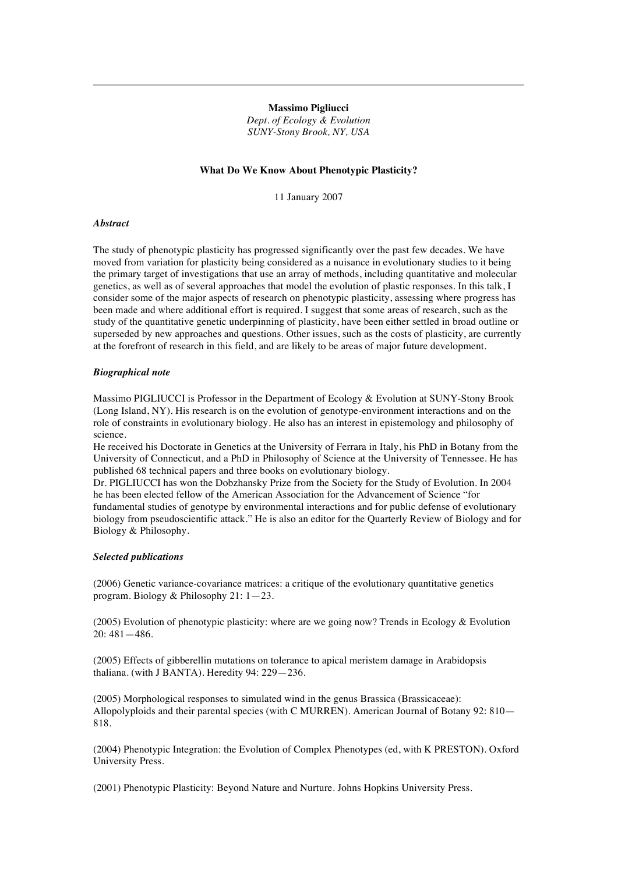# **Massimo Pigliucci**

*Dept. of Ecology & Evolution SUNY-Stony Brook, NY, USA*

#### **What Do We Know About Phenotypic Plasticity?**

11 January 2007

## *Abstract*

The study of phenotypic plasticity has progressed significantly over the past few decades. We have moved from variation for plasticity being considered as a nuisance in evolutionary studies to it being the primary target of investigations that use an array of methods, including quantitative and molecular genetics, as well as of several approaches that model the evolution of plastic responses. In this talk, I consider some of the major aspects of research on phenotypic plasticity, assessing where progress has been made and where additional effort is required. I suggest that some areas of research, such as the study of the quantitative genetic underpinning of plasticity, have been either settled in broad outline or superseded by new approaches and questions. Other issues, such as the costs of plasticity, are currently at the forefront of research in this field, and are likely to be areas of major future development.

## *Biographical note*

Massimo PIGLIUCCI is Professor in the Department of Ecology & Evolution at SUNY-Stony Brook (Long Island, NY). His research is on the evolution of genotype-environment interactions and on the role of constraints in evolutionary biology. He also has an interest in epistemology and philosophy of science.

He received his Doctorate in Genetics at the University of Ferrara in Italy, his PhD in Botany from the University of Connecticut, and a PhD in Philosophy of Science at the University of Tennessee. He has published 68 technical papers and three books on evolutionary biology.

Dr. PIGLIUCCI has won the Dobzhansky Prize from the Society for the Study of Evolution. In 2004 he has been elected fellow of the American Association for the Advancement of Science "for fundamental studies of genotype by environmental interactions and for public defense of evolutionary biology from pseudoscientific attack." He is also an editor for the Quarterly Review of Biology and for Biology & Philosophy.

## *Selected publications*

(2006) Genetic variance-covariance matrices: a critique of the evolutionary quantitative genetics program. Biology & Philosophy 21: 1—23.

(2005) Evolution of phenotypic plasticity: where are we going now? Trends in Ecology & Evolution 20: 481—486.

(2005) Effects of gibberellin mutations on tolerance to apical meristem damage in Arabidopsis thaliana. (with J BANTA). Heredity 94: 229—236.

(2005) Morphological responses to simulated wind in the genus Brassica (Brassicaceae): Allopolyploids and their parental species (with C MURREN). American Journal of Botany 92: 810— 818.

(2004) Phenotypic Integration: the Evolution of Complex Phenotypes (ed, with K PRESTON). Oxford University Press.

(2001) Phenotypic Plasticity: Beyond Nature and Nurture. Johns Hopkins University Press.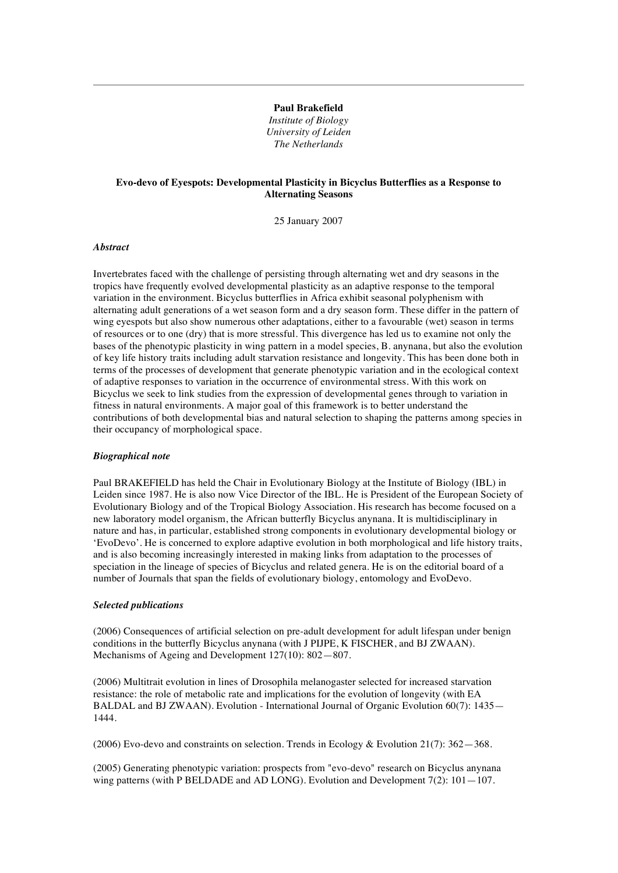# **Paul Brakefield**

*Institute of Biology University of Leiden The Netherlands*

# **Evo-devo of Eyespots: Developmental Plasticity in Bicyclus Butterflies as a Response to Alternating Seasons**

25 January 2007

## *Abstract*

Invertebrates faced with the challenge of persisting through alternating wet and dry seasons in the tropics have frequently evolved developmental plasticity as an adaptive response to the temporal variation in the environment. Bicyclus butterflies in Africa exhibit seasonal polyphenism with alternating adult generations of a wet season form and a dry season form. These differ in the pattern of wing eyespots but also show numerous other adaptations, either to a favourable (wet) season in terms of resources or to one (dry) that is more stressful. This divergence has led us to examine not only the bases of the phenotypic plasticity in wing pattern in a model species, B. anynana, but also the evolution of key life history traits including adult starvation resistance and longevity. This has been done both in terms of the processes of development that generate phenotypic variation and in the ecological context of adaptive responses to variation in the occurrence of environmental stress. With this work on Bicyclus we seek to link studies from the expression of developmental genes through to variation in fitness in natural environments. A major goal of this framework is to better understand the contributions of both developmental bias and natural selection to shaping the patterns among species in their occupancy of morphological space.

## *Biographical note*

Paul BRAKEFIELD has held the Chair in Evolutionary Biology at the Institute of Biology (IBL) in Leiden since 1987. He is also now Vice Director of the IBL. He is President of the European Society of Evolutionary Biology and of the Tropical Biology Association. His research has become focused on a new laboratory model organism, the African butterfly Bicyclus anynana. It is multidisciplinary in nature and has, in particular, established strong components in evolutionary developmental biology or 'EvoDevo'. He is concerned to explore adaptive evolution in both morphological and life history traits, and is also becoming increasingly interested in making links from adaptation to the processes of speciation in the lineage of species of Bicyclus and related genera. He is on the editorial board of a number of Journals that span the fields of evolutionary biology, entomology and EvoDevo.

# *Selected publications*

(2006) Consequences of artificial selection on pre-adult development for adult lifespan under benign conditions in the butterfly Bicyclus anynana (with J PIJPE, K FISCHER, and BJ ZWAAN). Mechanisms of Ageing and Development 127(10): 802—807.

(2006) Multitrait evolution in lines of Drosophila melanogaster selected for increased starvation resistance: the role of metabolic rate and implications for the evolution of longevity (with EA BALDAL and BJ ZWAAN). Evolution - International Journal of Organic Evolution 60(7): 1435— 1444.

(2006) Evo-devo and constraints on selection. Trends in Ecology & Evolution 21(7): 362—368.

(2005) Generating phenotypic variation: prospects from "evo-devo" research on Bicyclus anynana wing patterns (with P BELDADE and AD LONG). Evolution and Development  $7(2)$ :  $101-107$ .